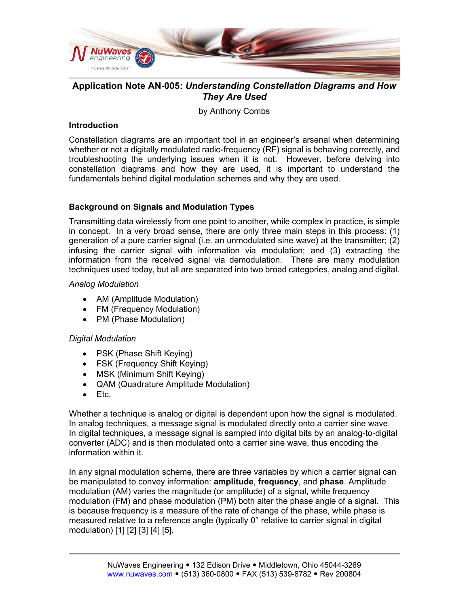

# **Application Note AN-005:** *Understanding Constellation Diagrams and How They Are Used*

by Anthony Combs

### **Introduction**

Constellation diagrams are an important tool in an engineer's arsenal when determining whether or not a digitally modulated radio-frequency (RF) signal is behaving correctly, and troubleshooting the underlying issues when it is not. However, before delving into constellation diagrams and how they are used, it is important to understand the fundamentals behind digital modulation schemes and why they are used.

### **Background on Signals and Modulation Types**

Transmitting data wirelessly from one point to another, while complex in practice, is simple in concept. In a very broad sense, there are only three main steps in this process: (1) generation of a pure carrier signal (i.e. an unmodulated sine wave) at the transmitter; (2) infusing the carrier signal with information via modulation; and (3) extracting the information from the received signal via demodulation. There are many modulation techniques used today, but all are separated into two broad categories, analog and digital.

#### *Analog Modulation*

- AM (Amplitude Modulation)
- FM (Frequency Modulation)
- PM (Phase Modulation)

#### *Digital Modulation*

- PSK (Phase Shift Keying)
- FSK (Frequency Shift Keying)
- MSK (Minimum Shift Keying)
- QAM (Quadrature Amplitude Modulation)
- Etc.

Whether a technique is analog or digital is dependent upon how the signal is modulated. In analog techniques, a message signal is modulated directly onto a carrier sine wave. In digital techniques, a message signal is sampled into digital bits by an analog-to-digital converter (ADC) and is then modulated onto a carrier sine wave, thus encoding the information within it.

In any signal modulation scheme, there are three variables by which a carrier signal can be manipulated to convey information: **amplitude**, **frequency**, and **phase**. Amplitude modulation (AM) varies the magnitude (or amplitude) of a signal, while frequency modulation (FM) and phase modulation (PM) both alter the phase angle of a signal. This is because frequency is a measure of the rate of change of the phase, while phase is measured relative to a reference angle (typically 0° relative to carrier signal in digital modulation) [1] [2] [3] [4] [5].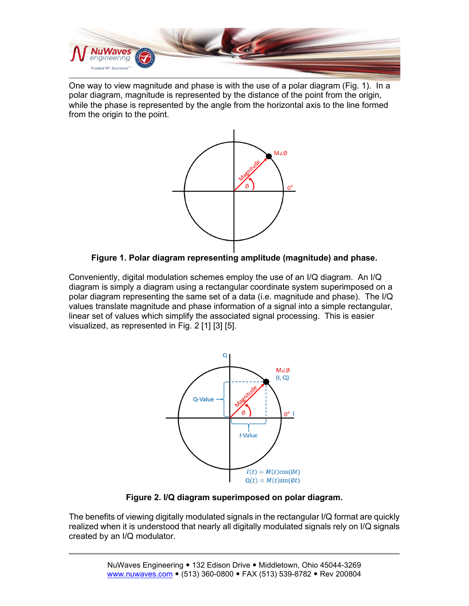

One way to view magnitude and phase is with the use of a polar diagram (Fig. 1). In a polar diagram, magnitude is represented by the distance of the point from the origin, while the phase is represented by the angle from the horizontal axis to the line formed from the origin to the point.





Conveniently, digital modulation schemes employ the use of an I/Q diagram. An I/Q diagram is simply a diagram using a rectangular coordinate system superimposed on a polar diagram representing the same set of a data (i.e. magnitude and phase). The I/Q values translate magnitude and phase information of a signal into a simple rectangular, linear set of values which simplify the associated signal processing. This is easier visualized, as represented in Fig. 2 [1] [3] [5].



**Figure 2. I/Q diagram superimposed on polar diagram.**

The benefits of viewing digitally modulated signals in the rectangular I/Q format are quickly realized when it is understood that nearly all digitally modulated signals rely on I/Q signals created by an I/Q modulator.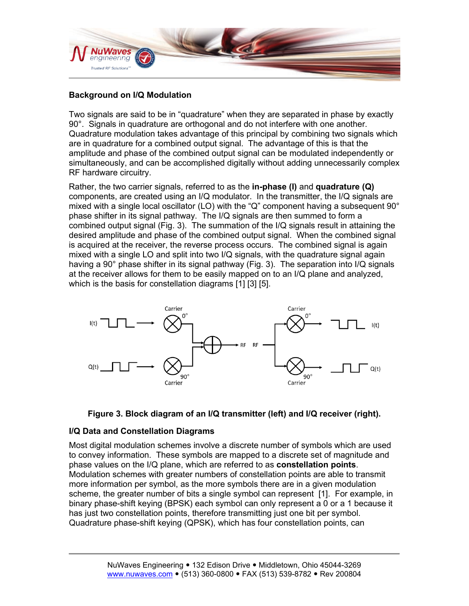

## **Background on I/Q Modulation**

Two signals are said to be in "quadrature" when they are separated in phase by exactly 90°. Signals in quadrature are orthogonal and do not interfere with one another. Quadrature modulation takes advantage of this principal by combining two signals which are in quadrature for a combined output signal. The advantage of this is that the amplitude and phase of the combined output signal can be modulated independently or simultaneously, and can be accomplished digitally without adding unnecessarily complex RF hardware circuitry.

Rather, the two carrier signals, referred to as the **in-phase (I)** and **quadrature (Q)** components, are created using an I/Q modulator. In the transmitter, the I/Q signals are mixed with a single local oscillator (LO) with the "Q" component having a subsequent 90° phase shifter in its signal pathway. The I/Q signals are then summed to form a combined output signal (Fig. 3). The summation of the I/Q signals result in attaining the desired amplitude and phase of the combined output signal. When the combined signal is acquired at the receiver, the reverse process occurs. The combined signal is again mixed with a single LO and split into two I/Q signals, with the quadrature signal again having a 90° phase shifter in its signal pathway (Fig. 3). The separation into I/Q signals at the receiver allows for them to be easily mapped on to an I/Q plane and analyzed, which is the basis for constellation diagrams [1] [3] [5].





#### **I/Q Data and Constellation Diagrams**

Most digital modulation schemes involve a discrete number of symbols which are used to convey information. These symbols are mapped to a discrete set of magnitude and phase values on the I/Q plane, which are referred to as **constellation points**. Modulation schemes with greater numbers of constellation points are able to transmit more information per symbol, as the more symbols there are in a given modulation scheme, the greater number of bits a single symbol can represent [1]. For example, in binary phase-shift keying (BPSK) each symbol can only represent a 0 or a 1 because it has just two constellation points, therefore transmitting just one bit per symbol. Quadrature phase-shift keying (QPSK), which has four constellation points, can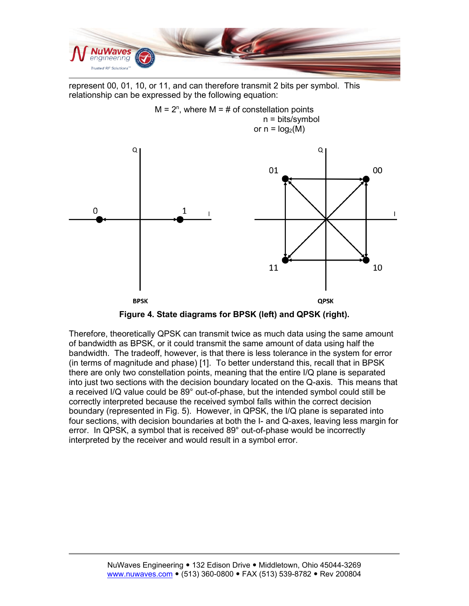

represent 00, 01, 10, or 11, and can therefore transmit 2 bits per symbol. This relationship can be expressed by the following equation:



**Figure 4. State diagrams for BPSK (left) and QPSK (right).**

Therefore, theoretically QPSK can transmit twice as much data using the same amount of bandwidth as BPSK, or it could transmit the same amount of data using half the bandwidth. The tradeoff, however, is that there is less tolerance in the system for error (in terms of magnitude and phase) [1]. To better understand this, recall that in BPSK there are only two constellation points, meaning that the entire I/Q plane is separated into just two sections with the decision boundary located on the Q-axis. This means that a received I/Q value could be 89° out-of-phase, but the intended symbol could still be correctly interpreted because the received symbol falls within the correct decision boundary (represented in Fig. 5). However, in QPSK, the I/Q plane is separated into four sections, with decision boundaries at both the I- and Q-axes, leaving less margin for error. In QPSK, a symbol that is received 89° out-of-phase would be incorrectly interpreted by the receiver and would result in a symbol error.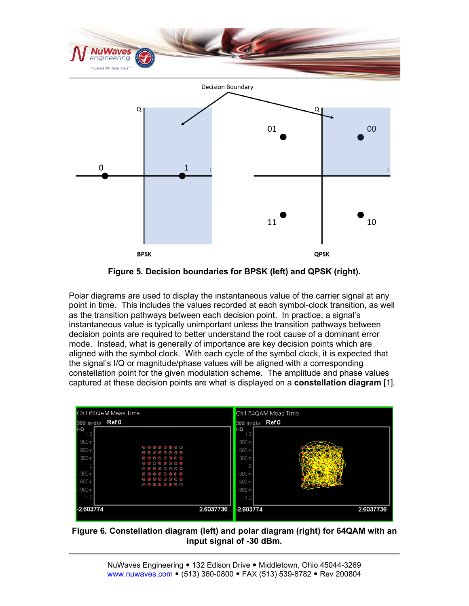

**Figure 5. Decision boundaries for BPSK (left) and QPSK (right).**

Polar diagrams are used to display the instantaneous value of the carrier signal at any point in time. This includes the values recorded at each symbol-clock transition, as well as the transition pathways between each decision point. In practice, a signal's instantaneous value is typically unimportant unless the transition pathways between decision points are required to better understand the root cause of a dominant error mode. Instead, what is generally of importance are key decision points which are aligned with the symbol clock. With each cycle of the symbol clock, it is expected that the signal's I/Q or magnitude/phase values will be aligned with a corresponding constellation point for the given modulation scheme. The amplitude and phase values captured at these decision points are what is displayed on a **constellation diagram** [1].

| Ch1 64QAM Meas Time                                                                                                                                                                                         | Ch1 64QAM Meas Time    |           |
|-------------------------------------------------------------------------------------------------------------------------------------------------------------------------------------------------------------|------------------------|-----------|
| Ref 0<br>300 m/div                                                                                                                                                                                          | Ref0<br>300 m/div      |           |
| $I - Q$<br>1.2                                                                                                                                                                                              | $I - Q$                |           |
| 900m                                                                                                                                                                                                        | 900m                   |           |
| $\begin{array}{cccccccccccccc} \circ & \circ & \circ & \circ & \circ & \circ & \circ & \circ & \circ \end{array}$<br>600m<br>$\begin{array}{ccc} \circ & \circ & \circ & \circ & \circ & \circ \end{array}$ | 600m                   |           |
| 300 <sub>m</sub><br>$••••••••••$                                                                                                                                                                            | 300m                   |           |
| Ω                                                                                                                                                                                                           |                        |           |
| $-300m$<br>$\begin{array}{cccccccccccccc} \bullet & \bullet & \bullet & \bullet & \bullet & \bullet & \bullet & \bullet & \bullet & \bullet \end{array}$                                                    | $-300m$                |           |
| $-600m$<br>$-900m$                                                                                                                                                                                          | $-600m$<br>$-900m$     |           |
| $-1.2$                                                                                                                                                                                                      | $-1.2$                 |           |
|                                                                                                                                                                                                             |                        |           |
| -2.603774                                                                                                                                                                                                   | 2.6037736<br>-2.603774 | 2.6037736 |

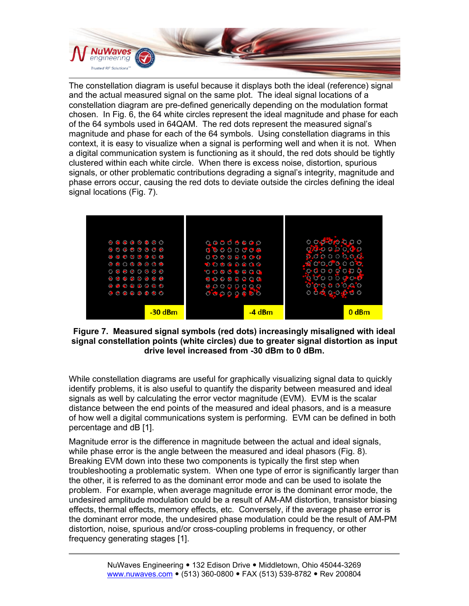

The constellation diagram is useful because it displays both the ideal (reference) signal and the actual measured signal on the same plot. The ideal signal locations of a constellation diagram are pre-defined generically depending on the modulation format chosen. In Fig. 6, the 64 white circles represent the ideal magnitude and phase for each of the 64 symbols used in 64QAM. The red dots represent the measured signal's magnitude and phase for each of the 64 symbols. Using constellation diagrams in this context, it is easy to visualize when a signal is performing well and when it is not. When a digital communication system is functioning as it should, the red dots should be tightly clustered within each white circle. When there is excess noise, distortion, spurious signals, or other problematic contributions degrading a signal's integrity, magnitude and phase errors occur, causing the red dots to deviate outside the circles defining the ideal signal locations (Fig. 7).



#### **Figure 7. Measured signal symbols (red dots) increasingly misaligned with ideal signal constellation points (white circles) due to greater signal distortion as input drive level increased from -30 dBm to 0 dBm.**

While constellation diagrams are useful for graphically visualizing signal data to quickly identify problems, it is also useful to quantify the disparity between measured and ideal signals as well by calculating the error vector magnitude (EVM). EVM is the scalar distance between the end points of the measured and ideal phasors, and is a measure of how well a digital communications system is performing. EVM can be defined in both percentage and dB [1].

Magnitude error is the difference in magnitude between the actual and ideal signals, while phase error is the angle between the measured and ideal phasors (Fig. 8). Breaking EVM down into these two components is typically the first step when troubleshooting a problematic system. When one type of error is significantly larger than the other, it is referred to as the dominant error mode and can be used to isolate the problem. For example, when average magnitude error is the dominant error mode, the undesired amplitude modulation could be a result of AM-AM distortion, transistor biasing effects, thermal effects, memory effects, etc. Conversely, if the average phase error is the dominant error mode, the undesired phase modulation could be the result of AM-PM distortion, noise, spurious and/or cross-coupling problems in frequency, or other frequency generating stages [1].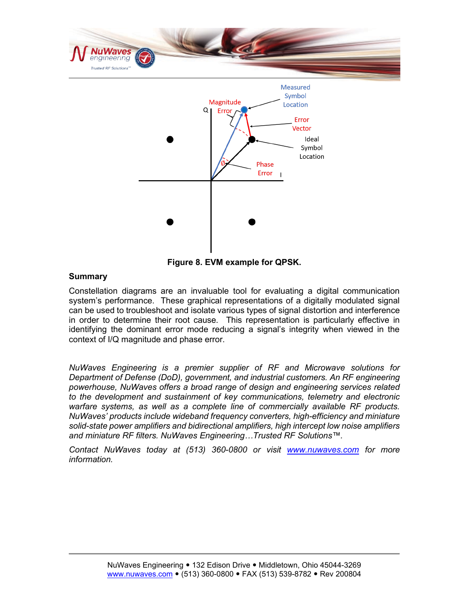

**Figure 8. EVM example for QPSK.**

#### **Summary**

Constellation diagrams are an invaluable tool for evaluating a digital communication system's performance. These graphical representations of a digitally modulated signal can be used to troubleshoot and isolate various types of signal distortion and interference in order to determine their root cause. This representation is particularly effective in identifying the dominant error mode reducing a signal's integrity when viewed in the context of I/Q magnitude and phase error.

*NuWaves Engineering is a premier supplier of RF and Microwave solutions for Department of Defense (DoD), government, and industrial customers. An RF engineering powerhouse, NuWaves offers a broad range of design and engineering services related to the development and sustainment of key communications, telemetry and electronic warfare systems, as well as a complete line of commercially available RF products. NuWaves' products include wideband frequency converters, high-efficiency and miniature solid-state power amplifiers and bidirectional amplifiers, high intercept low noise amplifiers and miniature RF filters. NuWaves Engineering…Trusted RF Solutions™.* 

*Contact NuWaves today at (513) 360-0800 or visit [www.nuwaves.com](http://www.nuwaves.com/) for more information.*